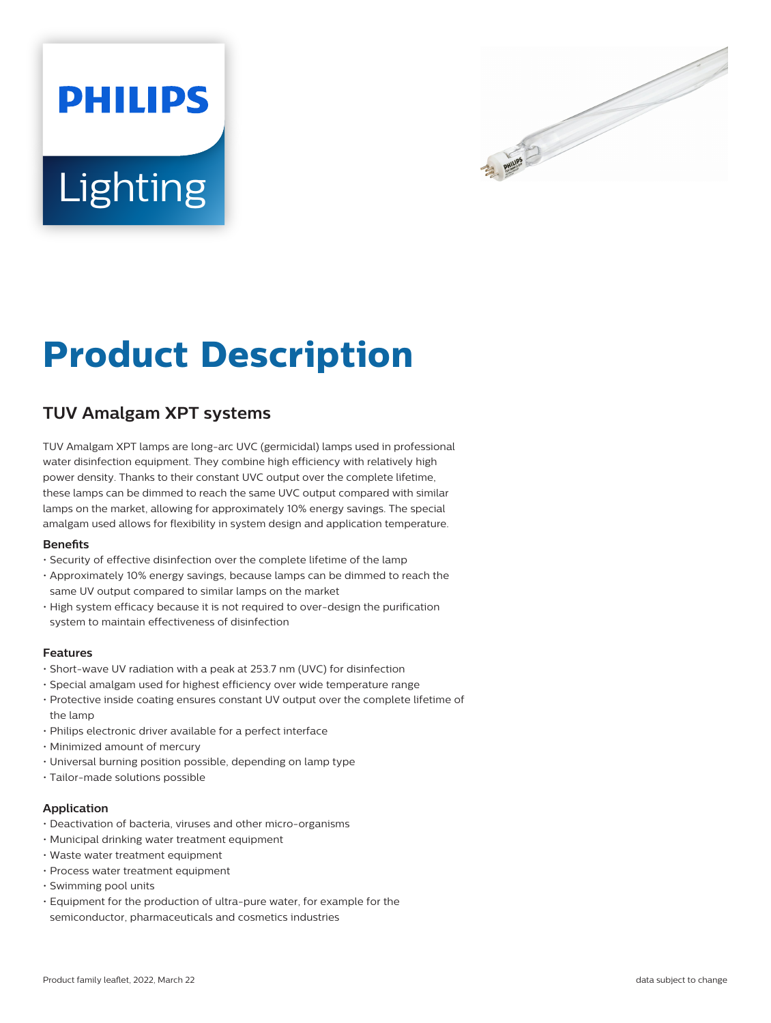# **PHILIPS** Lighting



# **Product Description**

## **TUV Amalgam XPT systems**

TUV Amalgam XPT lamps are long-arc UVC (germicidal) lamps used in professional water disinfection equipment. They combine high efficiency with relatively high power density. Thanks to their constant UVC output over the complete lifetime, these lamps can be dimmed to reach the same UVC output compared with similar lamps on the market, allowing for approximately 10% energy savings. The special amalgam used allows for flexibility in system design and application temperature.

#### **Benets**

- Security of effective disinfection over the complete lifetime of the lamp
- Approximately 10% energy savings, because lamps can be dimmed to reach the same UV output compared to similar lamps on the market
- High system efficacy because it is not required to over-design the purification system to maintain effectiveness of disinfection

#### **Features**

- Short-wave UV radiation with a peak at 253.7 nm (UVC) for disinfection
- Special amalgam used for highest efficiency over wide temperature range
- Protective inside coating ensures constant UV output over the complete lifetime of the lamp
- Philips electronic driver available for a perfect interface
- Minimized amount of mercury
- Universal burning position possible, depending on lamp type
- Tailor-made solutions possible

#### **Application**

- Deactivation of bacteria, viruses and other micro-organisms
- Municipal drinking water treatment equipment
- Waste water treatment equipment
- Process water treatment equipment
- Swimming pool units
- Equipment for the production of ultra-pure water, for example for the semiconductor, pharmaceuticals and cosmetics industries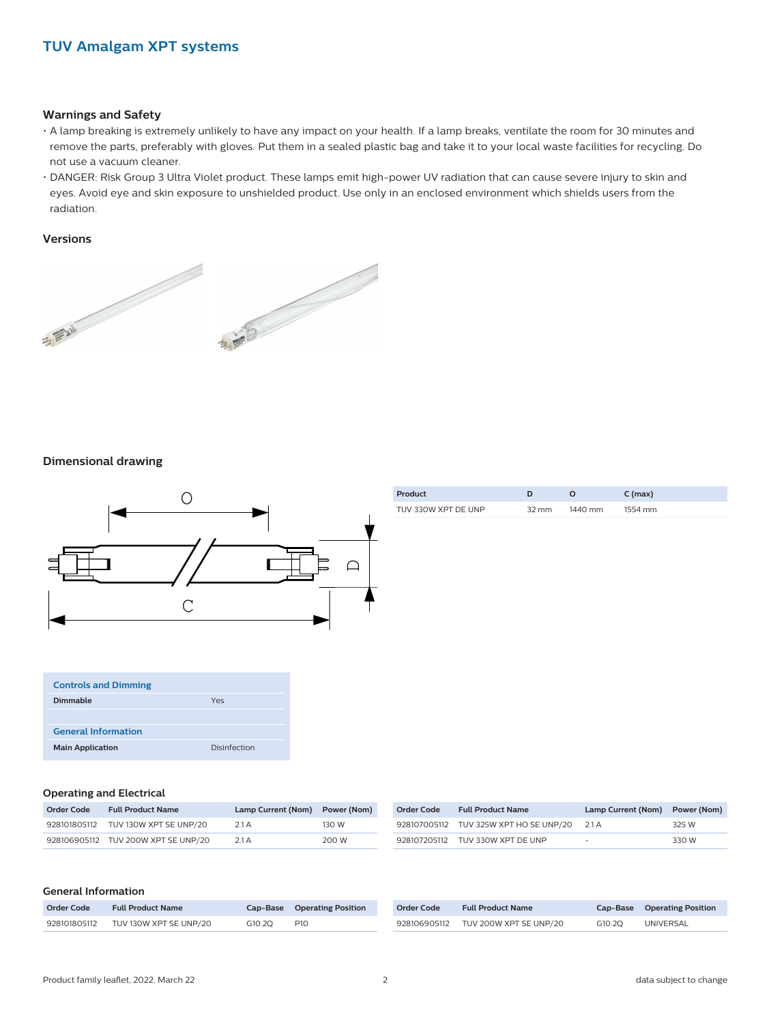#### **Warnings and Safety**

- A lamp breaking is extremely unlikely to have any impact on your health. If a lamp breaks, ventilate the room for 30 minutes and remove the parts, preferably with gloves. Put them in a sealed plastic bag and take it to your local waste facilities for recycling. Do not use a vacuum cleaner.
- DANGER: Risk Group 3 Ultra Violet product. These lamps emit high-power UV radiation that can cause severe injury to skin and eyes. Avoid eye and skin exposure to unshielded product. Use only in an enclosed environment which shields users from the radiation.

#### **Versions**



#### **Dimensional drawing**



| Product             |                 |         | $C$ (max) |
|---------------------|-----------------|---------|-----------|
| TUV 330W XPT DE UNP | $32 \text{ mm}$ | 1440 mm | 1554 mm   |

| <b>Controls and Dimming</b> |              |
|-----------------------------|--------------|
| Dimmable                    | Yes          |
|                             |              |
| <b>General Information</b>  |              |
| <b>Main Application</b>     | Disinfection |

#### **Operating and Electrical**

| Order Code | <b>Full Product Name</b>            | Lamp Current (Nom) Power (Nom) |       | <b>Order Code</b> | <b>Full Product Name</b>                     | Lamp Current (Nom) | Power (Nom) |
|------------|-------------------------------------|--------------------------------|-------|-------------------|----------------------------------------------|--------------------|-------------|
|            | 928101805112 TUV 130W XPT SE UNP/20 | 2.1 A                          | 130 W |                   | 928107005112 TUV 325W XPT HO SE UNP/20 2.1 A |                    | 325 W       |
|            | 928106905112 TUV 200W XPT SE UNP/20 | 2.1A                           | 200 W |                   | 928107205112 TUV 330W XPT DE UNP             | -                  | 330 W       |

#### **General Information**

| Order Code   | <b>Full Product Name</b> |        | <b>Cap-Base</b> Operating Position |
|--------------|--------------------------|--------|------------------------------------|
| 928101805112 | TUV 130W XPT SE UNP/20   | G10.20 | P <sub>10</sub>                    |

| Order Code   | <b>Full Product Name</b> |        | Cap-Base Operating Position |
|--------------|--------------------------|--------|-----------------------------|
| 928106905112 | TUV 200W XPT SE UNP/20   | G10.20 | UNIVERSAL                   |